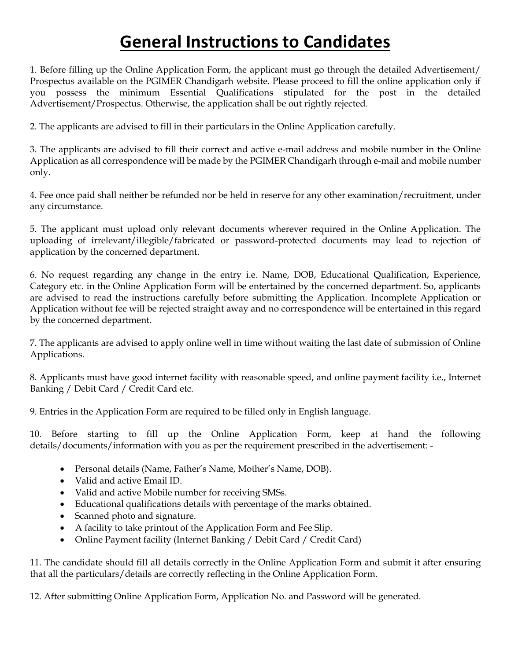# **General Instructions to Candidates**

1. Before filling up the Online Application Form, the applicant must go through the detailed Advertisement/ Prospectus available on the PGIMER Chandigarh website. Please proceed to fill the online application only if you possess the minimum Essential Qualifications stipulated for the post in the detailed Advertisement/Prospectus. Otherwise, the application shall be out rightly rejected.

2. The applicants are advised to fill in their particulars in the Online Application carefully.

3. The applicants are advised to fill their correct and active e-mail address and mobile number in the Online Application as all correspondence will be made by the PGIMER Chandigarh through e-mail and mobile number only.

4. Fee once paid shall neither be refunded nor be held in reserve for any other examination/recruitment, under any circumstance.

5. The applicant must upload only relevant documents wherever required in the Online Application. The uploading of irrelevant/illegible/fabricated or password-protected documents may lead to rejection of application by the concerned department.

6. No request regarding any change in the entry i.e. Name, DOB, Educational Qualification, Experience, Category etc. in the Online Application Form will be entertained by the concerned department. So, applicants are advised to read the instructions carefully before submitting the Application. Incomplete Application or Application without fee will be rejected straight away and no correspondence will be entertained in this regard by the concerned department.

7. The applicants are advised to apply online well in time without waiting the last date of submission of Online Applications.

8. Applicants must have good internet facility with reasonable speed, and online payment facility i.e., Internet Banking / Debit Card / Credit Card etc.

9. Entries in the Application Form are required to be filled only in English language.

10. Before starting to fill up the Online Application Form, keep at hand the following details/documents/information with you as per the requirement prescribed in the advertisement: -

- Personal details (Name, Father's Name, Mother's Name, DOB).
- Valid and active Email ID.
- Valid and active Mobile number for receiving SMSs.
- Educational qualifications details with percentage of the marks obtained.
- Scanned photo and signature.
- A facility to take printout of the Application Form and Fee Slip.
- Online Payment facility (Internet Banking / Debit Card / Credit Card)

11. The candidate should fill all details correctly in the Online Application Form and submit it after ensuring that all the particulars/details are correctly reflecting in the Online Application Form.

12. After submitting Online Application Form, Application No. and Password will be generated.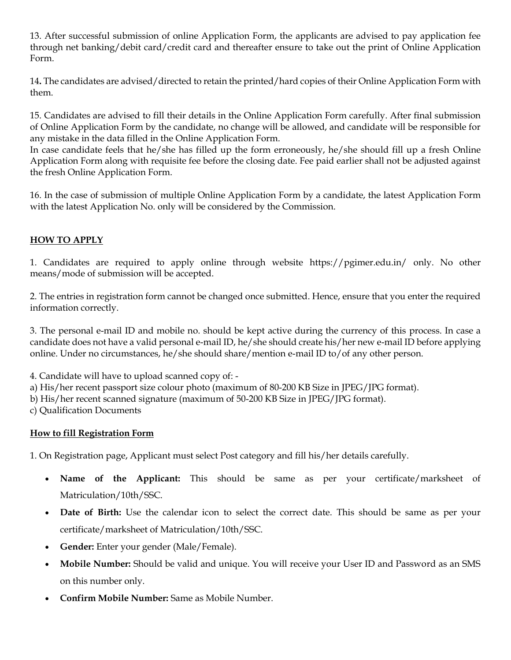13. After successful submission of online Application Form, the applicants are advised to pay application fee through net banking/debit card/credit card and thereafter ensure to take out the print of Online Application Form.

14**.** The candidates are advised/directed to retain the printed/hard copies of their Online Application Form with them.

15. Candidates are advised to fill their details in the Online Application Form carefully. After final submission of Online Application Form by the candidate, no change will be allowed, and candidate will be responsible for any mistake in the data filled in the Online Application Form.

In case candidate feels that he/she has filled up the form erroneously, he/she should fill up a fresh Online Application Form along with requisite fee before the closing date. Fee paid earlier shall not be adjusted against the fresh Online Application Form.

16. In the case of submission of multiple Online Application Form by a candidate, the latest Application Form with the latest Application No. only will be considered by the Commission.

## **HOW TO APPLY**

1. Candidates are required to apply online through website https://pgimer.edu.in/ only. No other means/mode of submission will be accepted.

2. The entries in registration form cannot be changed once submitted. Hence, ensure that you enter the required information correctly.

3. The personal e-mail ID and mobile no. should be kept active during the currency of this process. In case a candidate does not have a valid personal e-mail ID, he/she should create his/her new e-mail ID before applying online. Under no circumstances, he/she should share/mention e-mail ID to/of any other person.

4. Candidate will have to upload scanned copy of: -

a) His/her recent passport size colour photo (maximum of 80-200 KB Size in JPEG/JPG format).

b) His/her recent scanned signature (maximum of 50-200 KB Size in JPEG/JPG format).

c) Qualification Documents

#### **How to fill Registration Form**

1. On Registration page, Applicant must select Post category and fill his/her details carefully.

- **Name of the Applicant:** This should be same as per your certificate/marksheet of Matriculation/10th/SSC.
- **Date of Birth:** Use the calendar icon to select the correct date. This should be same as per your certificate/marksheet of Matriculation/10th/SSC.
- **Gender:** Enter your gender (Male/Female).
- **Mobile Number:** Should be valid and unique. You will receive your User ID and Password as an SMS on this number only.
- **Confirm Mobile Number:** Same as Mobile Number.